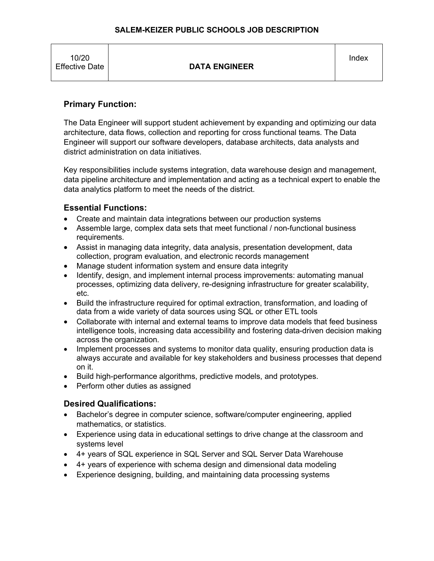#### **SALEM-KEIZER PUBLIC SCHOOLS JOB DESCRIPTION**

| 10/20<br><b>Effective Date</b> | <b>DATA ENGINEER</b> | Index |
|--------------------------------|----------------------|-------|
|--------------------------------|----------------------|-------|

## **Primary Function:**

The Data Engineer will support student achievement by expanding and optimizing our data architecture, data flows, collection and reporting for cross functional teams. The Data Engineer will support our software developers, database architects, data analysts and district administration on data initiatives.

Key responsibilities include systems integration, data warehouse design and management, data pipeline architecture and implementation and acting as a technical expert to enable the data analytics platform to meet the needs of the district.

## **Essential Functions:**

- Create and maintain data integrations between our production systems
- Assemble large, complex data sets that meet functional / non-functional business requirements.
- Assist in managing data integrity, data analysis, presentation development, data collection, program evaluation, and electronic records management
- Manage student information system and ensure data integrity
- Identify, design, and implement internal process improvements: automating manual processes, optimizing data delivery, re-designing infrastructure for greater scalability, etc.
- Build the infrastructure required for optimal extraction, transformation, and loading of data from a wide variety of data sources using SQL or other ETL tools
- Collaborate with internal and external teams to improve data models that feed business intelligence tools, increasing data accessibility and fostering data-driven decision making across the organization.
- Implement processes and systems to monitor data quality, ensuring production data is always accurate and available for key stakeholders and business processes that depend on it.
- Build high-performance algorithms, predictive models, and prototypes.
- Perform other duties as assigned

## **Desired Qualifications:**

- Bachelor's degree in computer science, software/computer engineering, applied mathematics, or statistics.
- Experience using data in educational settings to drive change at the classroom and systems level
- 4+ years of SQL experience in SQL Server and SQL Server Data Warehouse
- 4+ years of experience with schema design and dimensional data modeling
- Experience designing, building, and maintaining data processing systems